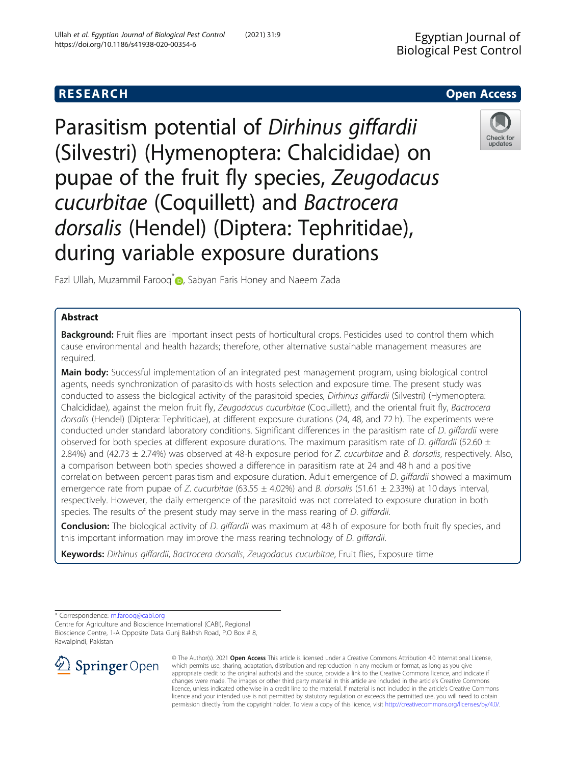# **RESEARCH CHEAR CHEAR CHEAR CHEAR CHEAR CHEAR CHEAR CHEAR CHEAR CHEAR CHEAR CHEAR CHEAR CHEAR CHEAR CHEAR CHEAR**

Parasitism potential of Dirhinus giffardii (Silvestri) (Hymenoptera: Chalcididae) on pupae of the fruit fly species, Zeugodacus cucurbitae (Coquillett) and Bactrocera dorsalis (Hendel) (Diptera: Tephritidae), during variable exposure durations



Fazl Ullah[,](http://orcid.org/0000-0002-5909-7041) Muzammil Farooq <sup>\*</sup> <sub>0</sub>, Sabyan Faris Honey and Naeem Zada

## Abstract

**Background:** Fruit flies are important insect pests of horticultural crops. Pesticides used to control them which cause environmental and health hazards; therefore, other alternative sustainable management measures are required.

Main body: Successful implementation of an integrated pest management program, using biological control agents, needs synchronization of parasitoids with hosts selection and exposure time. The present study was conducted to assess the biological activity of the parasitoid species, Dirhinus giffardii (Silvestri) (Hymenoptera: Chalcididae), against the melon fruit fly, Zeugodacus cucurbitae (Coquillett), and the oriental fruit fly, Bactrocera dorsalis (Hendel) (Diptera: Tephritidae), at different exposure durations (24, 48, and 72 h). The experiments were conducted under standard laboratory conditions. Significant differences in the parasitism rate of D. giffardii were observed for both species at different exposure durations. The maximum parasitism rate of D. giffardii (52.60  $\pm$ 2.84%) and (42.73  $\pm$  2.74%) was observed at 48-h exposure period for Z. cucurbitae and B. dorsalis, respectively. Also, a comparison between both species showed a difference in parasitism rate at 24 and 48 h and a positive correlation between percent parasitism and exposure duration. Adult emergence of *D. giffardii* showed a maximum emergence rate from pupae of Z. cucurbitae (63.55  $\pm$  4.02%) and B. dorsalis (51.61  $\pm$  2.33%) at 10 days interval, respectively. However, the daily emergence of the parasitoid was not correlated to exposure duration in both species. The results of the present study may serve in the mass rearing of D. giffardii.

Conclusion: The biological activity of D. giffardii was maximum at 48 h of exposure for both fruit fly species, and this important information may improve the mass rearing technology of D. giffardii.

Keywords: Dirhinus giffardii, Bactrocera dorsalis, Zeugodacus cucurbitae, Fruit flies, Exposure time

\* Correspondence: [m.farooq@cabi.org](mailto:m.farooq@cabi.org) Centre for Agriculture and Bioscience International (CABI), Regional

Bioscience Centre, 1-A Opposite Data Gunj Bakhsh Road, P.O Box # 8, Rawalpindi, Pakistan



© The Author(s). 2021 Open Access This article is licensed under a Creative Commons Attribution 4.0 International License, which permits use, sharing, adaptation, distribution and reproduction in any medium or format, as long as you give appropriate credit to the original author(s) and the source, provide a link to the Creative Commons licence, and indicate if changes were made. The images or other third party material in this article are included in the article's Creative Commons licence, unless indicated otherwise in a credit line to the material. If material is not included in the article's Creative Commons licence and your intended use is not permitted by statutory regulation or exceeds the permitted use, you will need to obtain permission directly from the copyright holder. To view a copy of this licence, visit <http://creativecommons.org/licenses/by/4.0/>.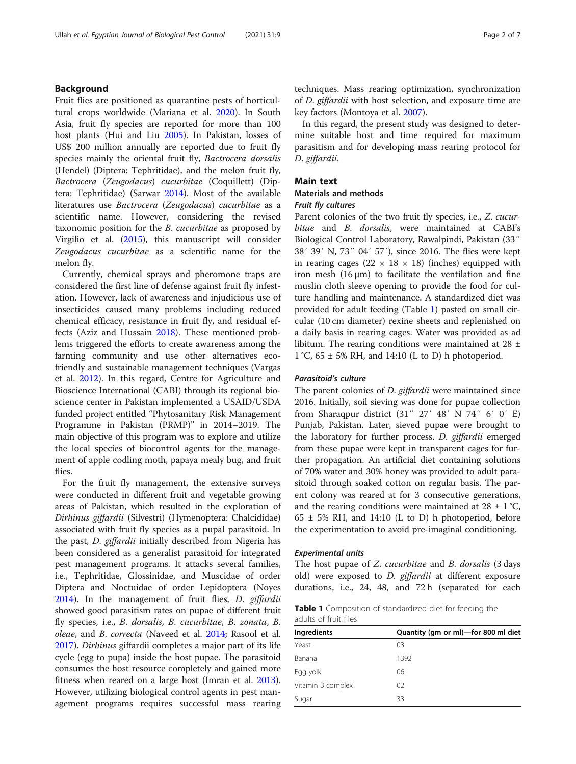Fruit flies are positioned as quarantine pests of horticultural crops worldwide (Mariana et al. [2020\)](#page-5-0). In South Asia, fruit fly species are reported for more than 100 host plants (Hui and Liu [2005](#page-5-0)). In Pakistan, losses of US\$ 200 million annually are reported due to fruit fly species mainly the oriental fruit fly, Bactrocera dorsalis (Hendel) (Diptera: Tephritidae), and the melon fruit fly, Bactrocera (Zeugodacus) cucurbitae (Coquillett) (Diptera: Tephritidae) (Sarwar [2014\)](#page-6-0). Most of the available literatures use Bactrocera (Zeugodacus) cucurbitae as a scientific name. However, considering the revised taxonomic position for the B. cucurbitae as proposed by Virgilio et al. ([2015](#page-6-0)), this manuscript will consider Zeugodacus cucurbitae as a scientific name for the melon fly.

Currently, chemical sprays and pheromone traps are considered the first line of defense against fruit fly infestation. However, lack of awareness and injudicious use of insecticides caused many problems including reduced chemical efficacy, resistance in fruit fly, and residual effects (Aziz and Hussain [2018](#page-5-0)). These mentioned problems triggered the efforts to create awareness among the farming community and use other alternatives ecofriendly and sustainable management techniques (Vargas et al. [2012\)](#page-6-0). In this regard, Centre for Agriculture and Bioscience International (CABI) through its regional bioscience center in Pakistan implemented a USAID/USDA funded project entitled "Phytosanitary Risk Management Programme in Pakistan (PRMP)" in 2014–2019. The main objective of this program was to explore and utilize the local species of biocontrol agents for the management of apple codling moth, papaya mealy bug, and fruit flies.

For the fruit fly management, the extensive surveys were conducted in different fruit and vegetable growing areas of Pakistan, which resulted in the exploration of Dirhinus giffardii (Silvestri) (Hymenoptera: Chalcididae) associated with fruit fly species as a pupal parasitoid. In the past, D. giffardii initially described from Nigeria has been considered as a generalist parasitoid for integrated pest management programs. It attacks several families, i.e., Tephritidae, Glossinidae, and Muscidae of order Diptera and Noctuidae of order Lepidoptera (Noyes [2014](#page-6-0)). In the management of fruit flies, D. giffardii showed good parasitism rates on pupae of different fruit fly species, i.e., B. dorsalis, B. cucurbitae, B. zonata, B. oleae, and B. correcta (Naveed et al. [2014;](#page-6-0) Rasool et al. [2017](#page-6-0)). Dirhinus giffardii completes a major part of its life cycle (egg to pupa) inside the host pupae. The parasitoid consumes the host resource completely and gained more fitness when reared on a large host (Imran et al. [2013](#page-5-0)). However, utilizing biological control agents in pest management programs requires successful mass rearing techniques. Mass rearing optimization, synchronization of D. giffardii with host selection, and exposure time are key factors (Montoya et al. [2007\)](#page-5-0).

In this regard, the present study was designed to determine suitable host and time required for maximum parasitism and for developing mass rearing protocol for D. giffardii.

### Main text

## Materials and methods

### Fruit fly cultures

Parent colonies of the two fruit fly species, i.e., Z. cucurbitae and B. dorsalis, were maintained at CABI's Biological Control Laboratory, Rawalpindi, Pakistan (33″ 38′ 39′ N, 73″ 04′ 57′), since 2016. The flies were kept in rearing cages (22  $\times$  18  $\times$  18) (inches) equipped with iron mesh  $(16 \mu m)$  to facilitate the ventilation and fine muslin cloth sleeve opening to provide the food for culture handling and maintenance. A standardized diet was provided for adult feeding (Table 1) pasted on small circular (10 cm diameter) rexine sheets and replenished on a daily basis in rearing cages. Water was provided as ad libitum. The rearing conditions were maintained at 28 ±  $1\textdegree C$ ,  $65 \pm 5\%$  RH, and  $14:10$  (L to D) h photoperiod.

#### Parasitoid's culture

The parent colonies of *D. giffardii* were maintained since 2016. Initially, soil sieving was done for pupae collection from Sharaqpur district (31″ 27′ 48′ N 74″ 6′ 0′ E) Punjab, Pakistan. Later, sieved pupae were brought to the laboratory for further process. D. giffardii emerged from these pupae were kept in transparent cages for further propagation. An artificial diet containing solutions of 70% water and 30% honey was provided to adult parasitoid through soaked cotton on regular basis. The parent colony was reared at for 3 consecutive generations, and the rearing conditions were maintained at  $28 \pm 1$  °C,  $65 \pm 5\%$  RH, and 14:10 (L to D) h photoperiod, before the experimentation to avoid pre-imaginal conditioning.

#### Experimental units

The host pupae of Z. cucurbitae and B. dorsalis (3 days old) were exposed to *D. giffardii* at different exposure durations, i.e., 24, 48, and 72 h (separated for each

Table 1 Composition of standardized diet for feeding the adults of fruit flies

| Ingredients       | Quantity (gm or ml)-for 800 ml diet |
|-------------------|-------------------------------------|
| Yeast             | 03                                  |
| Banana            | 1392                                |
| Egg yolk          | 06                                  |
| Vitamin B complex | 02                                  |
| Sugar             | 33                                  |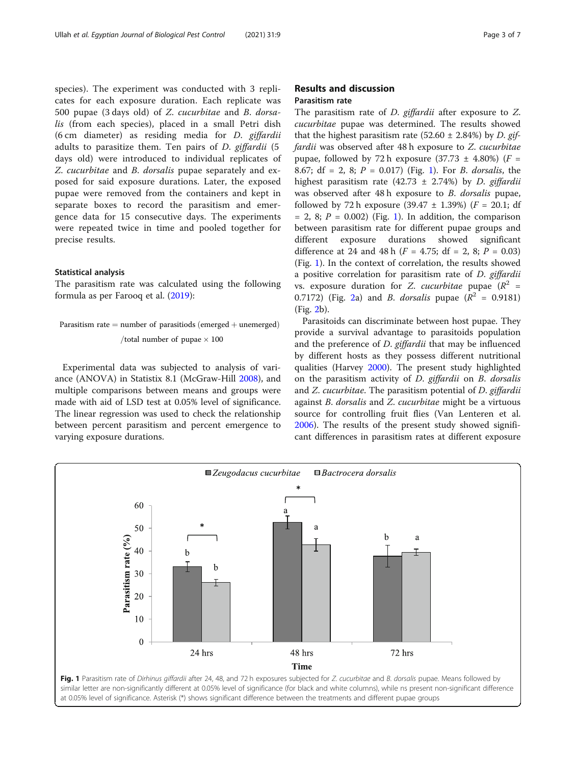species). The experiment was conducted with 3 replicates for each exposure duration. Each replicate was 500 pupae (3 days old) of Z. cucurbitae and B. dorsalis (from each species), placed in a small Petri dish (6 cm diameter) as residing media for D. giffardii adults to parasitize them. Ten pairs of D. giffardii (5 days old) were introduced to individual replicates of Z. cucurbitae and B. dorsalis pupae separately and exposed for said exposure durations. Later, the exposed pupae were removed from the containers and kept in separate boxes to record the parasitism and emergence data for 15 consecutive days. The experiments were repeated twice in time and pooled together for precise results.

#### Statistical analysis

The parasitism rate was calculated using the following formula as per Farooq et al. [\(2019](#page-5-0)):

Parasitism rate  $=$  number of parasitiods (emerged  $+$  unemerged) /total number of pupae  $\times$  100

Experimental data was subjected to analysis of variance (ANOVA) in Statistix 8.1 (McGraw-Hill [2008\)](#page-5-0), and multiple comparisons between means and groups were made with aid of LSD test at 0.05% level of significance. The linear regression was used to check the relationship between percent parasitism and percent emergence to varying exposure durations.

## Results and discussion Parasitism rate

The parasitism rate of *D. giffardii* after exposure to *Z*. cucurbitae pupae was determined. The results showed that the highest parasitism rate (52.60  $\pm$  2.84%) by *D. gif*fardii was observed after 48 h exposure to Z. cucurbitae pupae, followed by 72 h exposure (37.73  $\pm$  4.80%) ( $F =$ 8.67; df = 2, 8;  $P = 0.017$ ) (Fig. 1). For *B. dorsalis*, the highest parasitism rate (42.73  $\pm$  2.74%) by D. giffardii was observed after 48 h exposure to B. dorsalis pupae, followed by 72 h exposure (39.47  $\pm$  1.39%) ( $F = 20.1$ ; df  $= 2, 8; P = 0.002$  (Fig. 1). In addition, the comparison between parasitism rate for different pupae groups and different exposure durations showed significant difference at 24 and 48 h ( $F = 4.75$ ; df = 2, 8;  $P = 0.03$ ) (Fig. 1). In the context of correlation, the results showed a positive correlation for parasitism rate of D. giffardii vs. exposure duration for Z. *cucurbitae* pupae  $(R^2 =$ 0.7172) (Fig. [2a](#page-3-0)) and *B. dorsalis* pupae ( $R^2 = 0.9181$ ) (Fig. [2](#page-3-0)b).

Parasitoids can discriminate between host pupae. They provide a survival advantage to parasitoids population and the preference of D. giffardii that may be influenced by different hosts as they possess different nutritional qualities (Harvey [2000](#page-5-0)). The present study highlighted on the parasitism activity of D. giffardii on B. dorsalis and Z. cucurbitae. The parasitism potential of D. giffardii against B. dorsalis and Z. cucurbitae might be a virtuous source for controlling fruit flies (Van Lenteren et al. [2006](#page-6-0)). The results of the present study showed significant differences in parasitism rates at different exposure

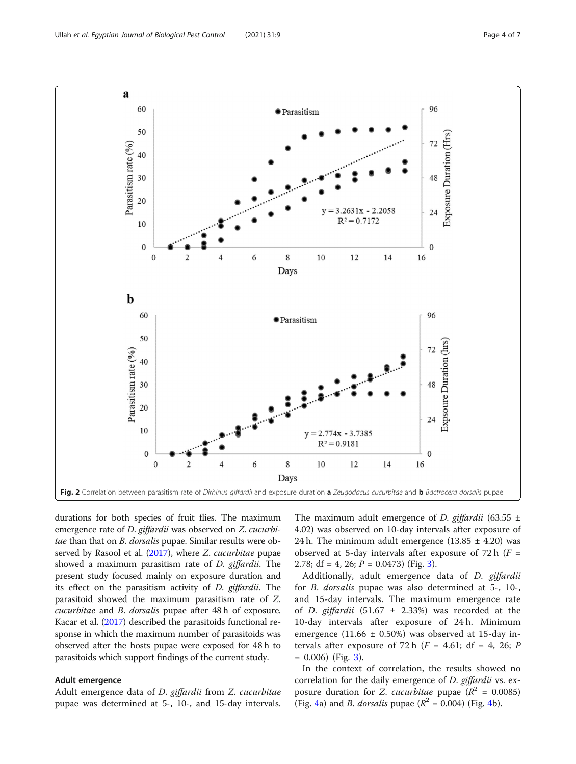<span id="page-3-0"></span>

durations for both species of fruit flies. The maximum emergence rate of D. giffardii was observed on Z. cucurbitae than that on B. dorsalis pupae. Similar results were ob-served by Rasool et al. [\(2017](#page-6-0)), where Z. cucurbitae pupae showed a maximum parasitism rate of D. giffardii. The present study focused mainly on exposure duration and its effect on the parasitism activity of D. giffardii. The parasitoid showed the maximum parasitism rate of Z. cucurbitae and B. dorsalis pupae after 48 h of exposure. Kacar et al. [\(2017](#page-5-0)) described the parasitoids functional response in which the maximum number of parasitoids was observed after the hosts pupae were exposed for 48 h to parasitoids which support findings of the current study.

### Adult emergence

Adult emergence data of D. giffardii from Z. cucurbitae pupae was determined at 5-, 10-, and 15-day intervals.

The maximum adult emergence of *D. giffardii* (63.55  $\pm$ 4.02) was observed on 10-day intervals after exposure of 24 h. The minimum adult emergence  $(13.85 \pm 4.20)$  was observed at 5-day intervals after exposure of 72 h ( $F =$ 2.78; df = 4, 26;  $P = 0.0473$ ) (Fig. [3\)](#page-4-0).

Additionally, adult emergence data of D. giffardii for B. dorsalis pupae was also determined at 5-, 10-, and 15-day intervals. The maximum emergence rate of D. giffardii  $(51.67 \pm 2.33%)$  was recorded at the 10-day intervals after exposure of 24 h. Minimum emergence (11.66  $\pm$  0.50%) was observed at 15-day intervals after exposure of 72 h  $(F = 4.61; df = 4, 26; P)$  $= 0.006$ ) (Fig. [3\)](#page-4-0).

In the context of correlation, the results showed no correlation for the daily emergence of D. giffardii vs. exposure duration for *Z. cucurbitae* pupae ( $R^2 = 0.0085$ ) (Fig. [4](#page-4-0)a) and *B. dorsalis* pupae ( $R^2 = 0.004$ ) (Fig. 4b).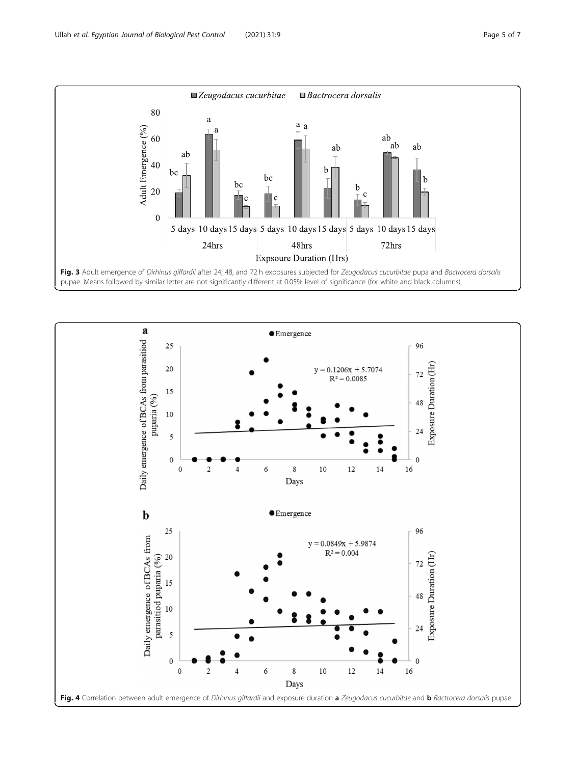<span id="page-4-0"></span>

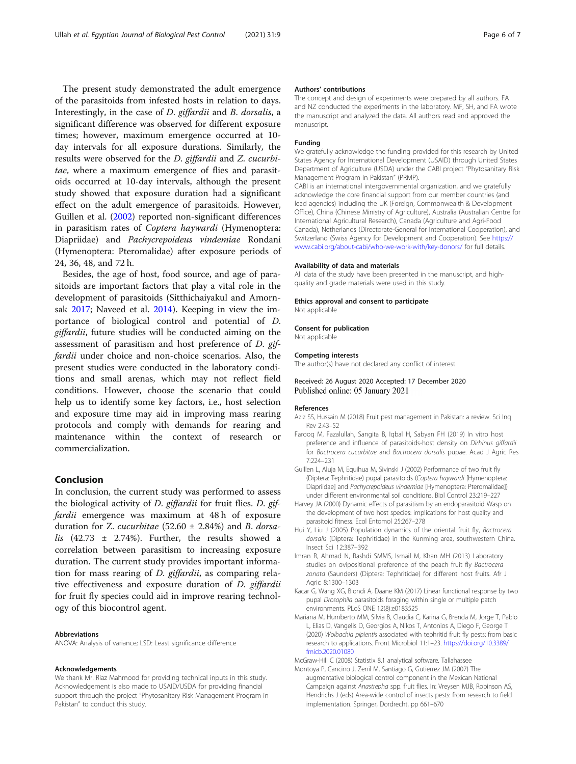<span id="page-5-0"></span>The present study demonstrated the adult emergence of the parasitoids from infested hosts in relation to days. Interestingly, in the case of D. giffardii and B. dorsalis, a significant difference was observed for different exposure times; however, maximum emergence occurred at 10 day intervals for all exposure durations. Similarly, the results were observed for the D. giffardii and Z. cucurbitae, where a maximum emergence of flies and parasitoids occurred at 10-day intervals, although the present study showed that exposure duration had a significant effect on the adult emergence of parasitoids. However, Guillen et al. (2002) reported non-significant differences in parasitism rates of Coptera haywardi (Hymenoptera: Diapriidae) and Pachycrepoideus vindemiae Rondani (Hymenoptera: Pteromalidae) after exposure periods of 24, 36, 48, and 72 h.

Besides, the age of host, food source, and age of parasitoids are important factors that play a vital role in the development of parasitoids (Sitthichaiyakul and Amornsak [2017](#page-6-0); Naveed et al. [2014](#page-6-0)). Keeping in view the importance of biological control and potential of D. giffardii, future studies will be conducted aiming on the assessment of parasitism and host preference of D. giffardii under choice and non-choice scenarios. Also, the present studies were conducted in the laboratory conditions and small arenas, which may not reflect field conditions. However, choose the scenario that could help us to identify some key factors, i.e., host selection and exposure time may aid in improving mass rearing protocols and comply with demands for rearing and maintenance within the context of research or commercialization.

## Conclusion

In conclusion, the current study was performed to assess the biological activity of D. giffardii for fruit flies. D. giffardii emergence was maximum at 48h of exposure duration for Z. *cucurbitae* (52.60  $\pm$  2.84%) and *B. dorsa*lis  $(42.73 \pm 2.74\%)$ . Further, the results showed a correlation between parasitism to increasing exposure duration. The current study provides important information for mass rearing of D. giffardii, as comparing relative effectiveness and exposure duration of D. giffardii for fruit fly species could aid in improve rearing technology of this biocontrol agent.

#### Abbreviations

ANOVA: Analysis of variance; LSD: Least significance difference

#### Acknowledgements

We thank Mr. Riaz Mahmood for providing technical inputs in this study. Acknowledgement is also made to USAID/USDA for providing financial support through the project "Phytosanitary Risk Management Program in Pakistan" to conduct this study.

#### Authors' contributions

The concept and design of experiments were prepared by all authors. FA and NZ conducted the experiments in the laboratory. MF, SH, and FA wrote the manuscript and analyzed the data. All authors read and approved the manuscript.

#### Funding

We gratefully acknowledge the funding provided for this research by United States Agency for International Development (USAID) through United States Department of Agriculture (USDA) under the CABI project "Phytosanitary Risk Management Program in Pakistan" (PRMP).

CABI is an international intergovernmental organization, and we gratefully acknowledge the core financial support from our member countries (and lead agencies) including the UK (Foreign, Commonwealth & Development Office), China (Chinese Ministry of Agriculture), Australia (Australian Centre for International Agricultural Research), Canada (Agriculture and Agri-Food Canada), Netherlands (Directorate-General for International Cooperation), and Switzerland (Swiss Agency for Development and Cooperation). See [https://](https://www.cabi.org/about-cabi/who-we-work-with/key-donors/) [www.cabi.org/about-cabi/who-we-work-with/key-donors/](https://www.cabi.org/about-cabi/who-we-work-with/key-donors/) for full details.

#### Availability of data and materials

All data of the study have been presented in the manuscript, and highquality and grade materials were used in this study.

#### Ethics approval and consent to participate

Not applicable

#### Consent for publication

Not applicable

#### Competing interests

The author(s) have not declared any conflict of interest.

#### Received: 26 August 2020 Accepted: 17 December 2020 Published online: 05 January 2021

#### References

- Aziz SS, Hussain M (2018) Fruit pest management in Pakistan: a review. Sci Inq Rev 2:43–52
- Farooq M, Fazalullah, Sangita B, Iqbal H, Sabyan FH (2019) In vitro host preference and influence of parasitoids-host density on Dirhinus giffardii for Bactrocera cucurbitae and Bactrocera dorsalis pupae. Acad J Agric Res 7:224–231
- Guillen L, Aluja M, Equihua M, Sivinski J (2002) Performance of two fruit fly (Diptera: Tephritidae) pupal parasitoids (Coptera haywardi [Hymenoptera: Diapriidae] and Pachycrepoideus vindemiae [Hymenoptera: Pteromalidae]) under different environmental soil conditions. Biol Control 23:219–227
- Harvey JA (2000) Dynamic effects of parasitism by an endoparasitoid Wasp on the development of two host species: implications for host quality and parasitoid fitness. Ecol Entomol 25:267–278
- Hui Y, Liu J (2005) Population dynamics of the oriental fruit fly, Bactrocera dorsalis (Diptera: Tephritidae) in the Kunming area, southwestern China. Insect Sci 12:387–392
- Imran R, Ahmad N, Rashdi SMMS, Ismail M, Khan MH (2013) Laboratory studies on ovipositional preference of the peach fruit fly Bactrocera zonata (Saunders) (Diptera: Tephritidae) for different host fruits. Afr J Agric 8:1300–1303
- Kacar G, Wang XG, Biondi A, Daane KM (2017) Linear functional response by two pupal Drosophila parasitoids foraging within single or multiple patch environments. PLoS ONE 12(8):e0183525
- Mariana M, Humberto MM, Silvia B, Claudia C, Karina G, Brenda M, Jorge T, Pablo L, Elias D, Vangelis D, Georgios A, Nikos T, Antonios A, Diego F, George T (2020) Wolbachia pipientis associated with tephritid fruit fly pests: from basic research to applications. Front Microbiol 11:1–23. [https://doi.org/10.3389/](https://doi.org/10.3389/fmicb.2020.01080) [fmicb.2020.01080](https://doi.org/10.3389/fmicb.2020.01080)

McGraw-Hill C (2008) Statistix 8.1 analytical software. Tallahassee

Montoya P, Cancino J, Zenil M, Santiago G, Gutierrez JM (2007) The augmentative biological control component in the Mexican National Campaign against Anastrepha spp. fruit flies. In: Vreysen MJB, Robinson AS, Hendrichs J (eds) Area-wide control of insects pests: from research to field implementation. Springer, Dordrecht, pp 661–670